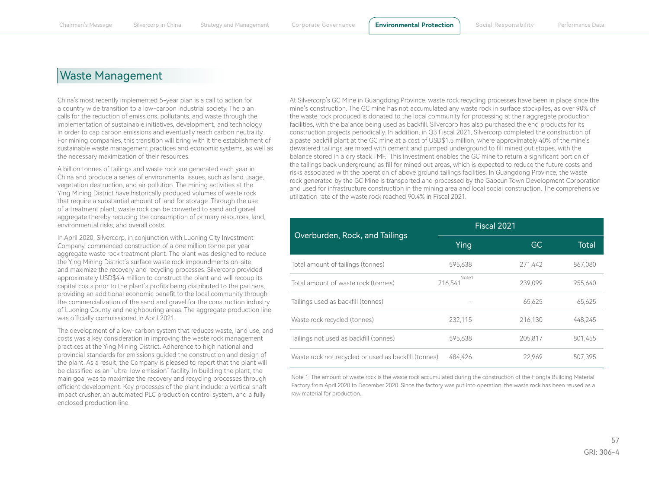## Waste Management

China's most recently implemented 5-year plan is a call to action for a country wide transition to a low-carbon industrial society. The plan calls for the reduction of emissions, pollutants, and waste through the implementation of sustainable initiatives, development, and technology in order to cap carbon emissions and eventually reach carbon neutrality. For mining companies, this transition will bring with it the establishment of sustainable waste management practices and economic systems, as well as the necessary maximization of their resources.

A billion tonnes of tailings and waste rock are generated each year in China and produce a series of environmental issues, such as land usage, vegetation destruction, and air pollution. The mining activities at the Ying Mining District have historically produced volumes of waste rock that require a substantial amount of land for storage. Through the use of a treatment plant, waste rock can be converted to sand and gravel aggregate thereby reducing the consumption of primary resources, land, environmental risks, and overall costs.

In April 2020, Silvercorp, in conjunction with Luoning City Investment Company, commenced construction of a one million tonne per year aggregate waste rock treatment plant. The plant was designed to reduce the Ying Mining District's surface waste rock impoundments on-site and maximize the recovery and recycling processes. Silvercorp provided approximately USD\$4.4 million to construct the plant and will recoup its capital costs prior to the plant's profits being distributed to the partners, providing an additional economic benefit to the local community through the commercialization of the sand and gravel for the construction industry of Luoning County and neighbouring areas. The aggregate production line was officially commissioned in April 2021.

The development of a low-carbon system that reduces waste, land use, and costs was a key consideration in improving the waste rock management practices at the Ying Mining District. Adherence to high national and provincial standards for emissions guided the construction and design of the plant. As a result, the Company is pleased to report that the plant will be classified as an "ultra-low emission" facility. In building the plant, the main goal was to maximize the recovery and recycling processes through efficient development. Key processes of the plant include: a vertical shaft impact crusher, an automated PLC production control system, and a fully enclosed production line.

At Silvercorp's GC Mine in Guangdong Province, waste rock recycling processes have been in place since the mine's construction. The GC mine has not accumulated any waste rock in surface stockpiles, as over 90% of the waste rock produced is donated to the local community for processing at their aggregate production facilities, with the balance being used as backfill. Silvercorp has also purchased the end products for its construction projects periodically. In addition, in Q3 Fiscal 2021, Silvercorp completed the construction of a paste backfill plant at the GC mine at a cost of USD\$1.5 million, where approximately 40% of the mine's dewatered tailings are mixed with cement and pumped underground to fill mined out stopes, with the balance stored in a dry stack TMF. This investment enables the GC mine to return a significant portion of the tailings back underground as fill for mined out areas, which is expected to reduce the future costs and risks associated with the operation of above ground tailings facilities. In Guangdong Province, the waste rock generated by the GC Mine is transported and processed by the Gaocun Town Development Corporation and used for infrastructure construction in the mining area and local social construction. The comprehensive utilization rate of the waste rock reached 90.4% in Fiscal 2021.

|                                                      | Fiscal 2021      |         |         |
|------------------------------------------------------|------------------|---------|---------|
| Overburden, Rock, and Tailings                       | Ying             | GC.     | Total   |
| Total amount of tailings (tonnes)                    | 595.638          | 271,442 | 867,080 |
| Total amount of waste rock (tonnes)                  | Note1<br>716.541 | 239.099 | 955.640 |
| Tailings used as backfill (tonnes)                   |                  | 65.625  | 65,625  |
| Waste rock recycled (tonnes)                         | 232,115          | 216,130 | 448.245 |
| Tailings not used as backfill (tonnes)               | 595.638          | 205,817 | 801,455 |
| Waste rock not recycled or used as backfill (tonnes) | 484.426          | 22.969  | 507.395 |

Note 1: The amount of waste rock is the waste rock accumulated during the construction of the Hongfa Building Material Factory from April 2020 to December 2020. Since the factory was put into operation, the waste rock has been reused as a raw material for production.